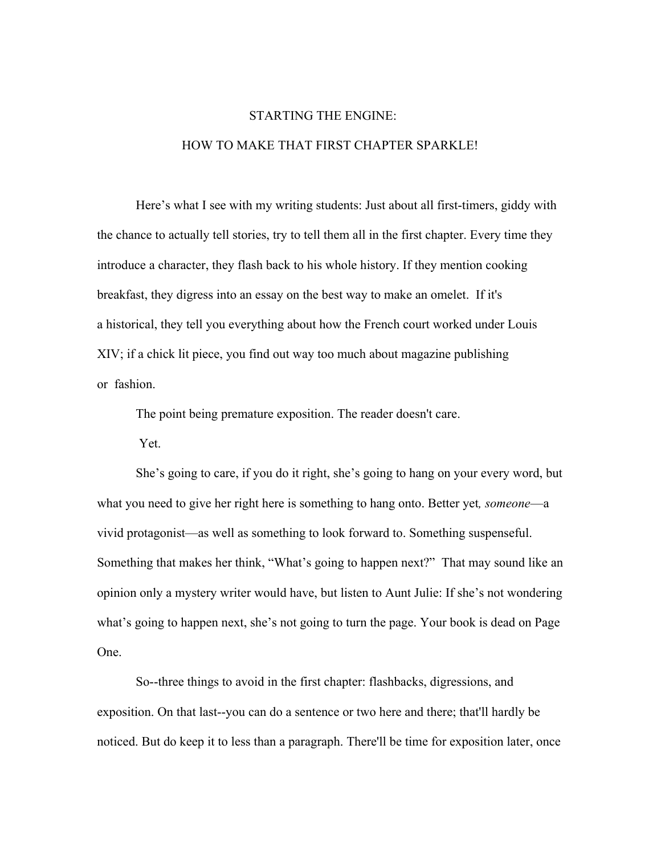# STARTING THE ENGINE: HOW TO MAKE THAT FIRST CHAPTER SPARKLE!

Here's what I see with my writing students: Just about all first-timers, giddy with the chance to actually tell stories, try to tell them all in the first chapter. Every time they introduce a character, they flash back to his whole history. If they mention cooking breakfast, they digress into an essay on the best way to make an omelet. If it's a historical, they tell you everything about how the French court worked under Louis XIV; if a chick lit piece, you find out way too much about magazine publishing or fashion.

The point being premature exposition. The reader doesn't care.

Yet.

She's going to care, if you do it right, she's going to hang on your every word, but what you need to give her right here is something to hang onto. Better yet*, someone*—a vivid protagonist—as well as something to look forward to. Something suspenseful. Something that makes her think, "What's going to happen next?" That may sound like an opinion only a mystery writer would have, but listen to Aunt Julie: If she's not wondering what's going to happen next, she's not going to turn the page. Your book is dead on Page One.

So--three things to avoid in the first chapter: flashbacks, digressions, and exposition. On that last--you can do a sentence or two here and there; that'll hardly be noticed. But do keep it to less than a paragraph. There'll be time for exposition later, once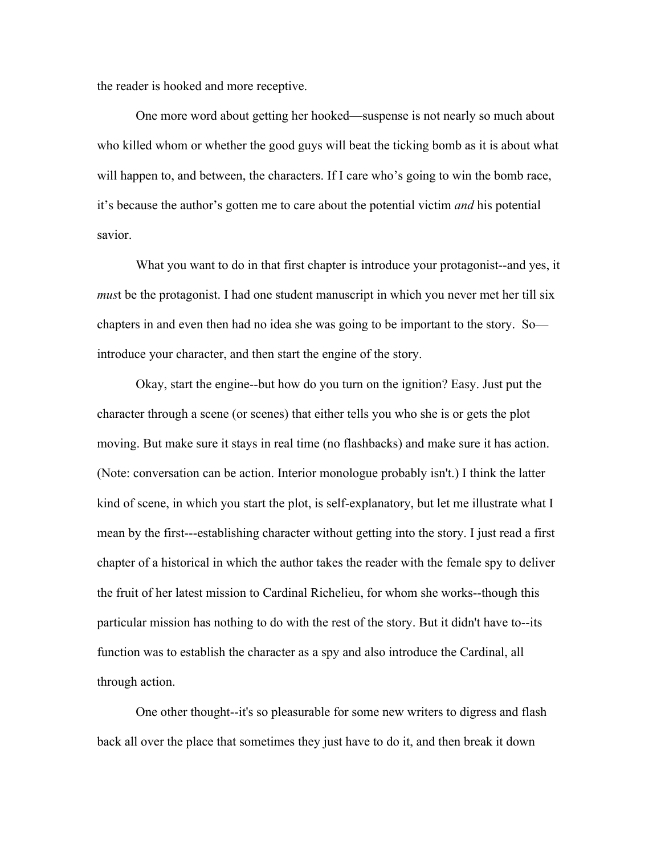the reader is hooked and more receptive.

One more word about getting her hooked—suspense is not nearly so much about who killed whom or whether the good guys will beat the ticking bomb as it is about what will happen to, and between, the characters. If I care who's going to win the bomb race, it's because the author's gotten me to care about the potential victim *and* his potential savior.

What you want to do in that first chapter is introduce your protagonist--and yes, it *mus*t be the protagonist. I had one student manuscript in which you never met her till six chapters in and even then had no idea she was going to be important to the story. So introduce your character, and then start the engine of the story.

Okay, start the engine--but how do you turn on the ignition? Easy. Just put the character through a scene (or scenes) that either tells you who she is or gets the plot moving. But make sure it stays in real time (no flashbacks) and make sure it has action. (Note: conversation can be action. Interior monologue probably isn't.) I think the latter kind of scene, in which you start the plot, is self-explanatory, but let me illustrate what I mean by the first---establishing character without getting into the story. I just read a first chapter of a historical in which the author takes the reader with the female spy to deliver the fruit of her latest mission to Cardinal Richelieu, for whom she works--though this particular mission has nothing to do with the rest of the story. But it didn't have to--its function was to establish the character as a spy and also introduce the Cardinal, all through action.

One other thought--it's so pleasurable for some new writers to digress and flash back all over the place that sometimes they just have to do it, and then break it down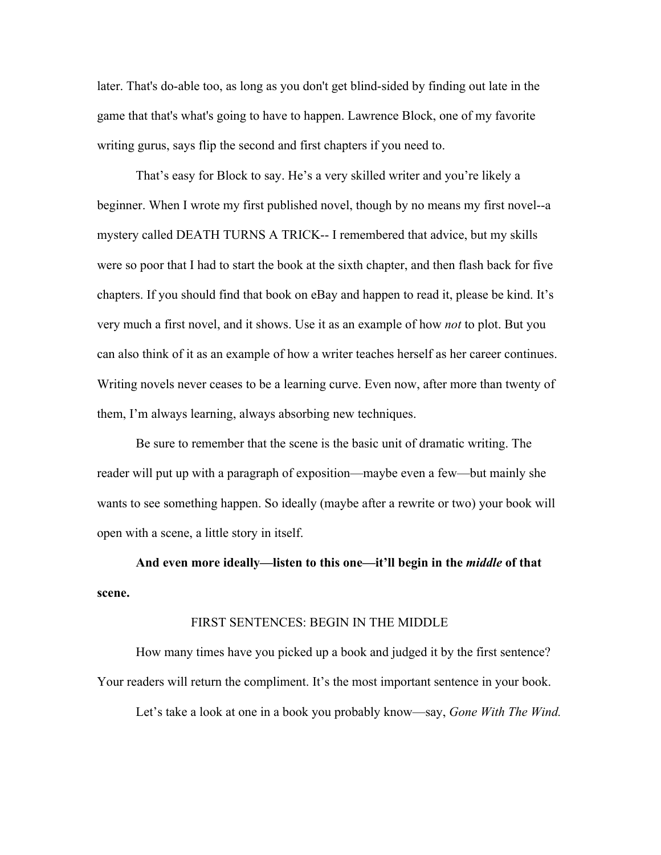later. That's do-able too, as long as you don't get blind-sided by finding out late in the game that that's what's going to have to happen. Lawrence Block, one of my favorite writing gurus, says flip the second and first chapters if you need to.

That's easy for Block to say. He's a very skilled writer and you're likely a beginner. When I wrote my first published novel, though by no means my first novel--a mystery called DEATH TURNS A TRICK-- I remembered that advice, but my skills were so poor that I had to start the book at the sixth chapter, and then flash back for five chapters. If you should find that book on eBay and happen to read it, please be kind. It's very much a first novel, and it shows. Use it as an example of how *not* to plot. But you can also think of it as an example of how a writer teaches herself as her career continues. Writing novels never ceases to be a learning curve. Even now, after more than twenty of them, I'm always learning, always absorbing new techniques.

Be sure to remember that the scene is the basic unit of dramatic writing. The reader will put up with a paragraph of exposition—maybe even a few—but mainly she wants to see something happen. So ideally (maybe after a rewrite or two) your book will open with a scene, a little story in itself.

**And even more ideally—listen to this one—it'll begin in the** *middle* **of that scene.**

#### FIRST SENTENCES: BEGIN IN THE MIDDLE

How many times have you picked up a book and judged it by the first sentence? Your readers will return the compliment. It's the most important sentence in your book.

Let's take a look at one in a book you probably know—say, *Gone With The Wind.*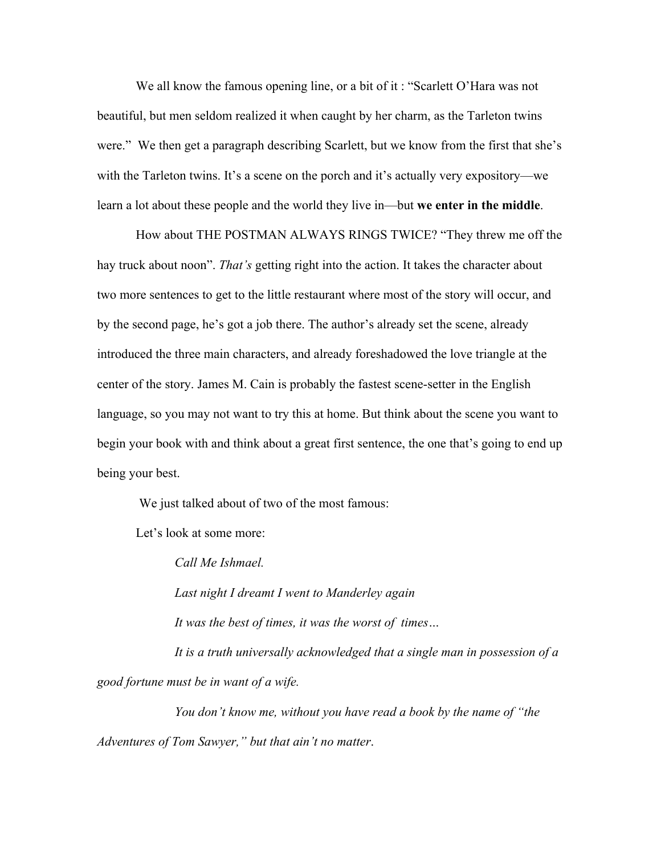We all know the famous opening line, or a bit of it: "Scarlett O'Hara was not beautiful, but men seldom realized it when caught by her charm, as the Tarleton twins were." We then get a paragraph describing Scarlett, but we know from the first that she's with the Tarleton twins. It's a scene on the porch and it's actually very expository—we learn a lot about these people and the world they live in—but **we enter in the middle**.

How about THE POSTMAN ALWAYS RINGS TWICE? "They threw me off the hay truck about noon". *That's* getting right into the action. It takes the character about two more sentences to get to the little restaurant where most of the story will occur, and by the second page, he's got a job there. The author's already set the scene, already introduced the three main characters, and already foreshadowed the love triangle at the center of the story. James M. Cain is probably the fastest scene-setter in the English language, so you may not want to try this at home. But think about the scene you want to begin your book with and think about a great first sentence, the one that's going to end up being your best.

We just talked about of two of the most famous:

Let's look at some more:

*Call Me Ishmael.*

*Last night I dreamt I went to Manderley again*

*It was the best of times, it was the worst of times…*

*It is a truth universally acknowledged that a single man in possession of a good fortune must be in want of a wife.*

*You don't know me, without you have read a book by the name of "the Adventures of Tom Sawyer," but that ain't no matter*.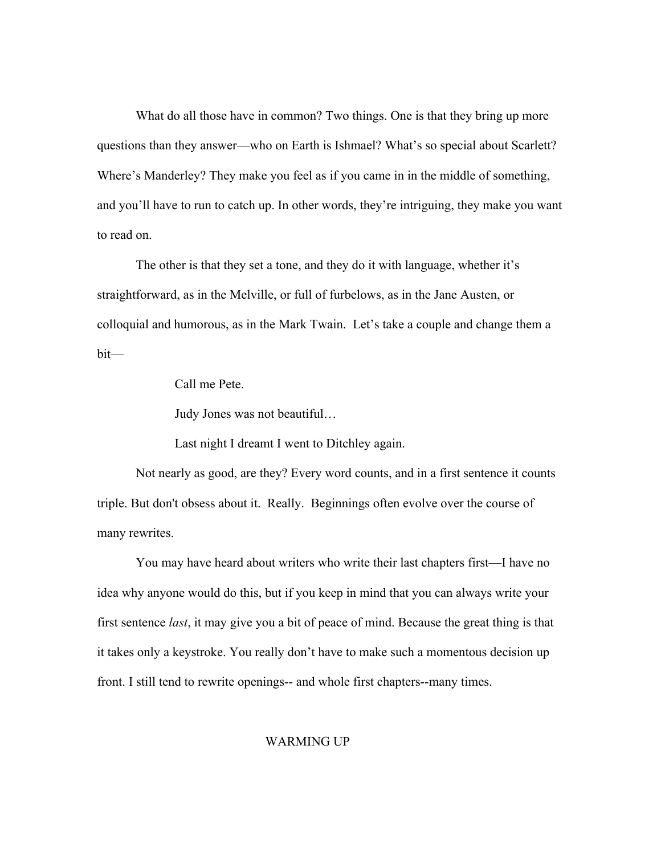What do all those have in common? Two things. One is that they bring up more questions than they answer—who on Earth is Ishmael? What's so special about Scarlett? Where's Manderley? They make you feel as if you came in in the middle of something, and you'll have to run to catch up. In other words, they're intriguing, they make you want to read on.

The other is that they set a tone, and they do it with language, whether it's straightforward, as in the Melville, or full of furbelows, as in the Jane Austen, or colloquial and humorous, as in the Mark Twain. Let's take a couple and change them a bit—

Call me Pete.

Judy Jones was not beautiful…

Last night I dreamt I went to Ditchley again.

Not nearly as good, are they? Every word counts, and in a first sentence it counts triple. But don't obsess about it. Really. Beginnings often evolve over the course of many rewrites.

You may have heard about writers who write their last chapters first—I have no idea why anyone would do this, but if you keep in mind that you can always write your first sentence *last*, it may give you a bit of peace of mind. Because the great thing is that it takes only a keystroke. You really don't have to make such a momentous decision up front. I still tend to rewrite openings-- and whole first chapters--many times.

#### WARMING UP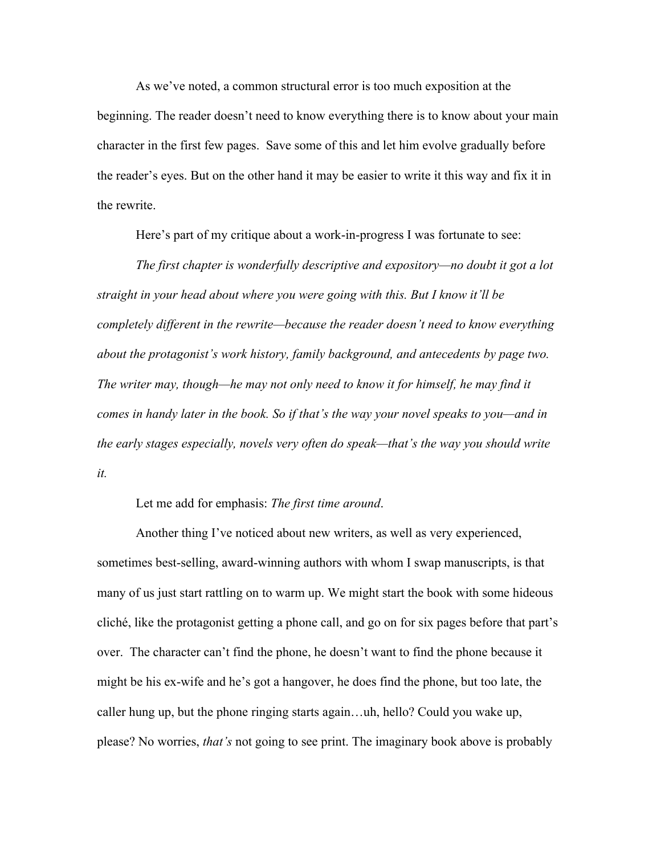As we've noted, a common structural error is too much exposition at the beginning. The reader doesn't need to know everything there is to know about your main character in the first few pages. Save some of this and let him evolve gradually before the reader's eyes. But on the other hand it may be easier to write it this way and fix it in the rewrite.

Here's part of my critique about a work-in-progress I was fortunate to see:

*The first chapter is wonderfully descriptive and expository—no doubt it got a lot straight in your head about where you were going with this. But I know it'll be completely different in the rewrite—because the reader doesn't need to know everything about the protagonist's work history, family background, and antecedents by page two. The writer may, though—he may not only need to know it for himself, he may find it comes in handy later in the book. So if that's the way your novel speaks to you—and in the early stages especially, novels very often do speak—that's the way you should write it.*

Let me add for emphasis: *The first time around*.

Another thing I've noticed about new writers, as well as very experienced, sometimes best-selling, award-winning authors with whom I swap manuscripts, is that many of us just start rattling on to warm up. We might start the book with some hideous cliché, like the protagonist getting a phone call, and go on for six pages before that part's over. The character can't find the phone, he doesn't want to find the phone because it might be his ex-wife and he's got a hangover, he does find the phone, but too late, the caller hung up, but the phone ringing starts again…uh, hello? Could you wake up, please? No worries, *that's* not going to see print. The imaginary book above is probably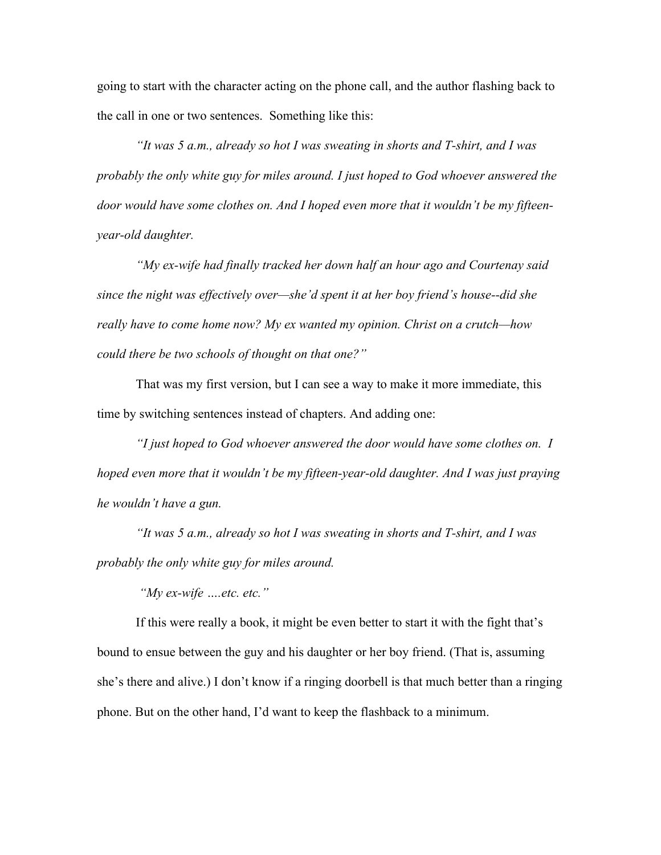going to start with the character acting on the phone call, and the author flashing back to the call in one or two sentences. Something like this:

*"It was 5 a.m., already so hot I was sweating in shorts and T-shirt, and I was probably the only white guy for miles around. I just hoped to God whoever answered the door would have some clothes on. And I hoped even more that it wouldn't be my fifteenyear-old daughter.*

*"My ex-wife had finally tracked her down half an hour ago and Courtenay said since the night was effectively over—she'd spent it at her boy friend's house--did she really have to come home now? My ex wanted my opinion. Christ on a crutch—how could there be two schools of thought on that one?"*

That was my first version, but I can see a way to make it more immediate, this time by switching sentences instead of chapters. And adding one:

*"I just hoped to God whoever answered the door would have some clothes on. I hoped even more that it wouldn't be my fifteen-year-old daughter. And I was just praying he wouldn't have a gun.*

*"It was 5 a.m., already so hot I was sweating in shorts and T-shirt, and I was probably the only white guy for miles around.*

*"My ex-wife ….etc. etc."*

If this were really a book, it might be even better to start it with the fight that's bound to ensue between the guy and his daughter or her boy friend. (That is, assuming she's there and alive.) I don't know if a ringing doorbell is that much better than a ringing phone. But on the other hand, I'd want to keep the flashback to a minimum.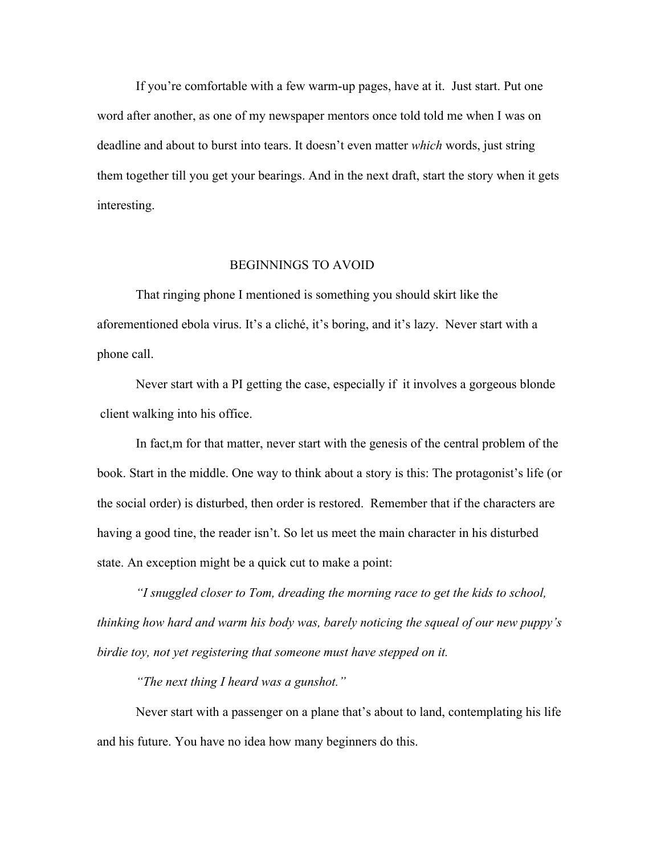If you're comfortable with a few warm-up pages, have at it. Just start. Put one word after another, as one of my newspaper mentors once told told me when I was on deadline and about to burst into tears. It doesn't even matter *which* words, just string them together till you get your bearings. And in the next draft, start the story when it gets interesting.

### BEGINNINGS TO AVOID

That ringing phone I mentioned is something you should skirt like the aforementioned ebola virus. It's a cliché, it's boring, and it's lazy. Never start with a phone call.

Never start with a PI getting the case, especially if it involves a gorgeous blonde client walking into his office.

In fact,m for that matter, never start with the genesis of the central problem of the book. Start in the middle. One way to think about a story is this: The protagonist's life (or the social order) is disturbed, then order is restored. Remember that if the characters are having a good tine, the reader isn't. So let us meet the main character in his disturbed state. An exception might be a quick cut to make a point:

*"I snuggled closer to Tom, dreading the morning race to get the kids to school, thinking how hard and warm his body was, barely noticing the squeal of our new puppy's birdie toy, not yet registering that someone must have stepped on it.* 

*"The next thing I heard was a gunshot."*

Never start with a passenger on a plane that's about to land, contemplating his life and his future. You have no idea how many beginners do this.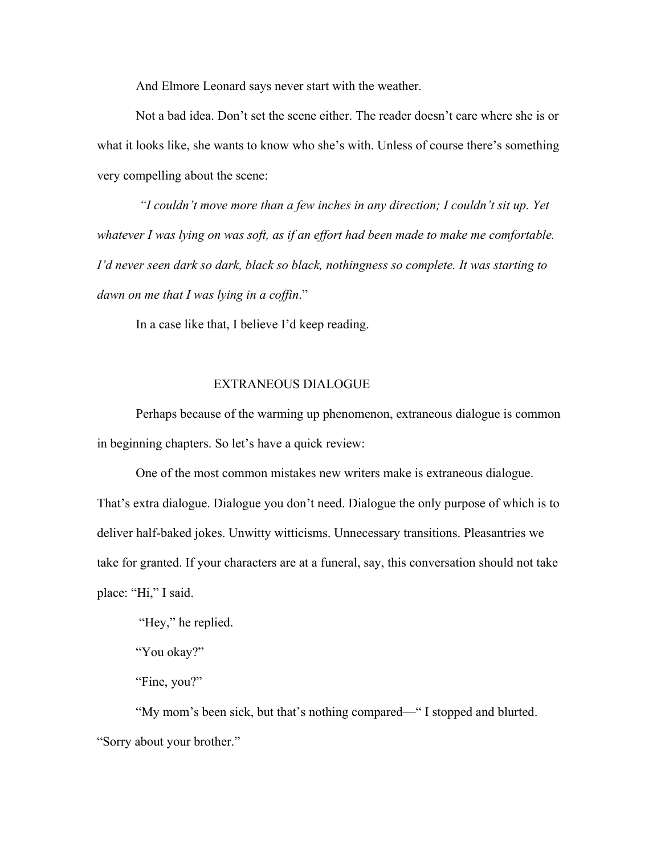And Elmore Leonard says never start with the weather.

Not a bad idea. Don't set the scene either. The reader doesn't care where she is or what it looks like, she wants to know who she's with. Unless of course there's something very compelling about the scene:

*"I couldn't move more than a few inches in any direction; I couldn't sit up. Yet whatever I was lying on was soft, as if an effort had been made to make me comfortable. I'd never seen dark so dark, black so black, nothingness so complete. It was starting to dawn on me that I was lying in a coffin*."

In a case like that, I believe I'd keep reading.

## EXTRANEOUS DIALOGUE

Perhaps because of the warming up phenomenon, extraneous dialogue is common in beginning chapters. So let's have a quick review:

One of the most common mistakes new writers make is extraneous dialogue. That's extra dialogue. Dialogue you don't need. Dialogue the only purpose of which is to deliver half-baked jokes. Unwitty witticisms. Unnecessary transitions. Pleasantries we take for granted. If your characters are at a funeral, say, this conversation should not take place: "Hi," I said.

"Hey," he replied.

"You okay?"

"Fine, you?"

"My mom's been sick, but that's nothing compared—" I stopped and blurted. "Sorry about your brother."